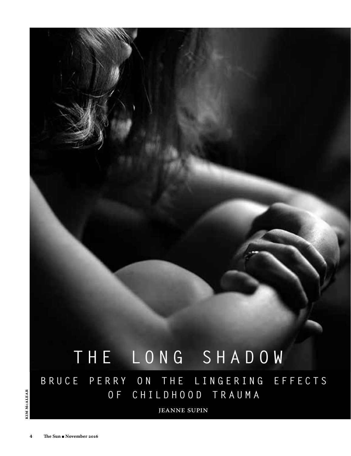## **B R U C E P E R R Y O N T H E L I N G E R I N G E F F E C T S OF CHILDHOOD TR AUMA THE LONG SHADOW**

Jeanne Supin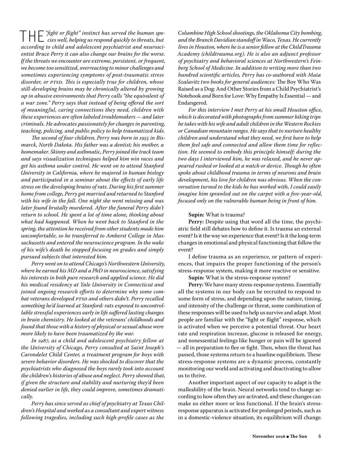THE*"fight or flight" instinct has served the human spe-cies well, helping us respond quickly to threats, but according to child and adolescent psychiatrist and neuroscientist Bruce Perry it can also change our brains for the worse. If the threats we encounter are extreme, persistent, or frequent, we become too sensitized, overreacting to minor challenges and sometimes experiencing symptoms of post-traumatic stress disorder, or PTSD. This is especially true for children, whose still-developing brains may be chronically altered by growing up in abusive environments that Perry calls "the equivalent of a war zone." Perry says that instead of being offered the sort of meaningful, caring connections they need, children with these experiences are often labeled troublemakers — and later criminals. He advocates passionately for changes in parenting, teaching, policing, and public policy to help traumatized kids.* 

 *The second of four children, Perry was born in 1955 in Bismarck, North Dakota. His father was a dentist; his mother, a homemaker. Skinny and asthmatic, Perry joined the track team and says visualization techniques helped him win races and get his asthma under control. He went on to attend Stanford University in California, where he majored in human biology and participated in a seminar about the effects of early life stress on the developing brains of rats. During his first summer home from college, Perry got married and returned to Stanford with his wife in the fall. One night she went missing and was later found brutally murdered. After the funeral Perry didn't return to school. He spent a lot of time alone, thinking about what had happened. When he went back to Stanford in the spring, the attention he received from other students made him uncomfortable, so he transferred to Amherst College in Massachusetts and entered the neuroscience program. In the wake of his wife's death he stopped focusing on grades and simply pursued subjects that interested him.* 

 *Perry went on to attend Chicago's Northwestern University, where he earned his MD and a PhD in neuroscience, satisfying his interests in both pure research and applied science. He did his medical residency at Yale University in Connecticut and joined ongoing research efforts to determine why some combat veterans developed PTSD and others didn't. Perry recalled something he'd learned at Stanford: rats exposed to uncontrollable stressful experiences early in life suffered lasting changes in brain chemistry. He looked at the veterans' childhoods and found that those with a history of physical or sexual abuse were more likely to have been traumatized by the war.* 

 *In 1987, as a child and adolescent psychiatry fellow at the University of Chicago, Perry consulted at Saint Joseph's Carondelet Child Center, a treatment program for boys with severe behavior disorders. He was shocked to discover that the psychiatrists who diagnosed the boys rarely took into account the children's histories of abuse and neglect. Perry showed that, if given the structure and stability and nurturing they'd been denied earlier in life, they could improve, sometimes dramatically.* 

 *Perry has since served as chief of psychiatry at Texas Children's Hospital and worked as a consultant and expert witness following tragedies, including such high-profile cases as the* 

*Columbine High School shootings, the Oklahoma City bombing, and the Branch Davidian standoff in Waco, Texas. He currently lives in Houston, where he is a senior fellow at the ChildTrauma Academy (childtrauma.org). He is also an adjunct professor of psychiatry and behavioral sciences at Northwestern's Feinberg School of Medicine. In addition to writing more than two hundred scientific articles, Perry has co-authored with Maia Szalavitz two books for general audiences:* The Boy Who Was Raised as a Dog: And Other Stories from a Child Psychiatrist's Notebook *and* Born for Love: Why Empathy Is Essential — and Endangered*.*

 *For this interview I met Perry at his small Houston office, which is decorated with photographs from summer hiking trips he takes with his wife and adult children in the Western Rockies or Canadian mountain ranges. He says that to nurture healthy children and understand what they need, we first have to help them feel safe and connected and allow them time for reflection. He seemed to embody this principle himself: during the two days I interviewed him, he was relaxed, and he never appeared rushed or looked at a watch or device. Though he often spoke about childhood trauma in terms of neurons and brain development, his love for children was obvious. When the conversation turned to the kids he has worked with, I could easily imagine him sprawled out on the carpet with a five-year-old, focused only on the vulnerable human being in front of him.* 

## **Supin:** What is trauma?

**Perry:** Despite using that word all the time, the psychiatric field still debates how to define it. Is trauma an external event? Is it the way we experience that event? Is it the long-term changes in emotional and physical functioning that follow the event?

 I define trauma as an experience, or pattern of experiences, that impairs the proper functioning of the person's stress-response system, making it more reactive or sensitive.

**Supin:** What is the stress-response system?

**Perry:** We have many stress-response systems. Essentially all the systems in our body can be recruited to respond to some form of stress, and depending upon the nature, timing, and intensity of the challenge or threat, some combination of these responses will be used to help us survive and adapt. Most people are familiar with the "fight or flight" response, which is activated when we perceive a potential threat. Our heart rate and respiration increase, glucose is released for energy, and nonessential feelings like hunger or pain will be ignored — all in preparation to flee or fight. Then, when the threat has passed, those systems return to a baseline equilibrium. These stress-response systems are a dynamic process, constantly monitoring our world and activating and deactivating to allow us to thrive.

 Another important aspect of our capacity to adapt is the malleability of the brain. Neural networks tend to change according to how often they are activated, and these changes can make us either more or less functional. If the brain's stressresponse apparatus is activated for prolonged periods, such as in a domestic-violence situation, its equilibrium will change.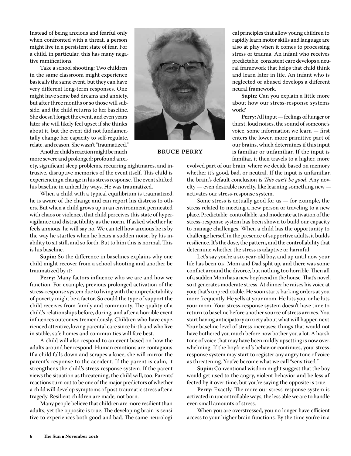Instead of being anxious and fearful only when confronted with a threat, a person might live in a persistent state of fear. For a child, in particular, this has many negative ramifications.

 Take a school shooting: Two children in the same classroom might experience basically the same event, but they can have very different long-term responses. One might have some bad dreams and anxiety, but after three months or so those will subside, and the child returns to her baseline. She doesn't forget the event, and even years later she will likely feel upset if she thinks about it, but the event did not fundamentally change her capacity to self-regulate, relate, and reason. She wasn't "traumatized."

 Another child's reaction might be much more severe and prolonged: profound anxi-

ety, significant sleep problems, recurring nightmares, and intrusive, disruptive memories of the event itself. This child is experiencing a change in his stress response. The event shifted his baseline in unhealthy ways. He was traumatized.

 When a child with a typical equilibrium is traumatized, he is aware of the change and can report his distress to others. But when a child grows up in an environment permeated with chaos or violence, that child perceives this state of hypervigilance and distractibility as the norm. If asked whether he feels anxious, he will say no. We can tell how anxious he is by the way he startles when he hears a sudden noise, by his inability to sit still, and so forth. But to him this is normal. This is his baseline.

**Supin:** So the difference in baselines explains why one child might recover from a school shooting and another be traumatized by it?

**Perry:** Many factors influence who we are and how we function. For example, previous prolonged activation of the stress-response system due to living with the unpredictability of poverty might be a factor. So could the type of support the child receives from family and community. The quality of a child's relationships before, during, and after a horrible event influences outcomes tremendously. Children who have experienced attentive, loving parental care since birth and who live in stable, safe homes and communities will fare best.

 A child will also respond to an event based on how the adults around her respond. Human emotions are contagious. If a child falls down and scrapes a knee, she will mirror the parent's response to the accident. If the parent is calm, it strengthens the child's stress-response system. If the parent views the situation as threatening, the child will, too. Parents' reactions turn out to be one of the major predictors of whether a child will develop symptoms of post-traumatic stress after a tragedy. Resilient children are made, not born.

 Many people believe that children are more resilient than adults, yet the opposite is true. The developing brain is sensitive to experiences both good and bad. The same neurologi-



Bruce Perry

cal principles that allow young children to rapidly learn motor skills and language are also at play when it comes to processing stress or trauma. An infant who receives predictable, consistent care develops a neural framework that helps that child think and learn later in life. An infant who is neglected or abused develops a different neural framework.

**Supin:** Can you explain a little more about how our stress-response systems work?

**Perry:** All input — feelings of hunger or thirst, loud noises, the sound of someone's voice, some information we learn — first enters the lower, more primitive part of our brains, which determines if this input is familiar or unfamiliar. If the input is familiar, it then travels to a higher, more

evolved part of our brain, where we decide based on memory whether it's good, bad, or neutral. If the input is unfamiliar, the brain's default conclusion is *This can't be good*. Any novelty — even desirable novelty, like learning something new activates our stress-response system.

 Some stress is actually good for us — for example, the stress related to meeting a new person or traveling to a new place. Predictable, controllable, and moderate activation of the stress-response system has been shown to build our capacity to manage challenges. When a child has the opportunity to challenge herself in the presence of supportive adults, it builds resilience. It's the dose, the pattern, and the controllability that determine whether the stress is adaptive or harmful.

 Let's say you're a six-year-old boy, and up until now your life has been OK. Mom and Dad split up, and there was some conflict around the divorce, but nothing too horrible. Then all of a sudden Mom has a new boyfriend in the house. That's novel, so it generates moderate stress. At dinner he raises his voice at you; that's unpredictable. He soon starts barking orders at you more frequently. He yells at your mom. He hits you, or he hits your mom. Your stress-response system doesn't have time to return to baseline before another source of stress arrives. You start having anticipatory anxiety about what will happen next. Your baseline level of stress increases; things that would not have bothered you much before now bother you a lot. A harsh tone of voice that may have been mildly upsetting is now overwhelming. If the boyfriend's behavior continues, your stressresponse system may start to register any angry tone of voice as threatening. You've become what we call "sensitized."

**Supin:** Conventional wisdom might suggest that the boy would get used to the angry, violent behavior and be less affected by it over time, but you're saying the opposite is true.

**Perry:** Exactly. The more our stress-response system is activated in uncontrollable ways, the less able we are to handle even small amounts of stress.

 When you are overstressed, you no longer have efficient access to your higher brain functions. By the time you're in a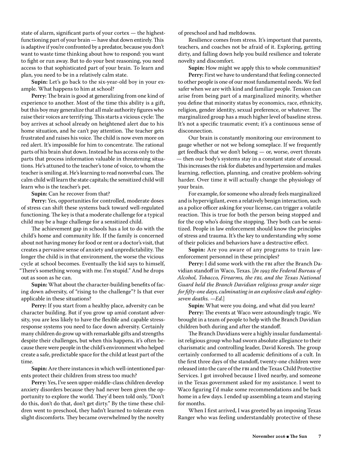state of alarm, significant parts of your cortex — the highestfunctioning part of your brain — have shut down entirely. This is adaptive if you're confronted by a predator, because you don't want to waste time thinking about how to respond: you want to fight or run away. But to do your best reasoning, you need access to that sophisticated part of your brain. To learn and plan, you need to be in a relatively calm state.

**Supin:** Let's go back to the six-year-old boy in your example. What happens to him at school?

**Perry:** The brain is good at generalizing from one kind of experience to another. Most of the time this ability is a gift, but this boy may generalize that all male authority figures who raise their voices are terrifying. This starts a vicious cycle: The boy arrives at school already on heightened alert due to his home situation, and he can't pay attention. The teacher gets frustrated and raises his voice. The child is now even more on red alert. It's impossible for him to concentrate. The rational parts of his brain shut down. Instead he has access only to the parts that process information valuable in threatening situations. He's attuned to the teacher's tone of voice, to whom the teacher is smiling at. He's learning to read nonverbal cues. The calm child will learn the state capitals; the sensitized child will learn who is the teacher's pet.

**Supin:** Can he recover from that?

**Perry:** Yes, opportunities for controlled, moderate doses of stress can shift these systems back toward well-regulated functioning. The key is that a moderate challenge for a typical child may be a huge challenge for a sensitized child.

 The achievement gap in schools has a lot to do with the child's home and community life. If the family is concerned about not having money for food or rent or a doctor's visit, that creates a pervasive sense of anxiety and unpredictability. The longer the child is in that environment, the worse the vicious cycle at school becomes. Eventually the kid says to himself, "There's something wrong with me. I'm stupid." And he drops out as soon as he can.

**Supin:** What about the character-building benefits of facing down adversity, of "rising to the challenge"? Is that ever applicable in these situations?

**Perry:** If you start from a healthy place, adversity can be character building. But if you grow up amid constant adversity, you are less likely to have the flexible and capable stressresponse systems you need to face down adversity. Certainly many children do grow up with remarkable gifts and strengths despite their challenges, but when this happens, it's often because there were people in the child's environment who helped create a safe, predictable space for the child at least part of the time.

**Supin:** Are there instances in which well-intentioned parents protect their children from stress too much?

**Perry:** Yes, I've seen upper-middle-class children develop anxiety disorders because they had never been given the opportunity to explore the world. They'd been told only, "Don't do this, don't do that, don't get dirty." By the time these children went to preschool, they hadn't learned to tolerate even slight discomforts. They became overwhelmed by the novelty

of preschool and had meltdowns.

 Resilience comes from stress. It's important that parents, teachers, and coaches not be afraid of it. Exploring, getting dirty, and falling down help you build resilience and tolerate novelty and discomfort.

**Supin:** How might we apply this to whole communities? **Perry:** First we have to understand that feeling connected to other people is one of our most fundamental needs. We feel safer when we are with kind and familiar people. Tension can arise from being part of a marginalized minority, whether you define that minority status by economics, race, ethnicity, religion, gender identity, sexual preference, or whatever. The marginalized group has a much higher level of baseline stress. It's not a specific traumatic event; it's a continuous sense of disconnection.

 Our brain is constantly monitoring our environment to gauge whether or not we belong someplace. If we frequently get feedback that we don't belong — or, worse, overt threats — then our body's systems stay in a constant state of arousal. This increases the risk for diabetes and hypertension and makes learning, reflection, planning, and creative problem-solving harder. Over time it will actually change the physiology of your brain.

 For example, for someone who already feels marginalized and is hypervigilant, even a relatively benign interaction, such as a police officer asking for your license, can trigger a volatile reaction. This is true for both the person being stopped and for the cop who's doing the stopping. They both can be sensitized. People in law enforcement should know the principles of stress and trauma. It's the key to understanding why some of their policies and behaviors have a destructive effect.

**Supin:** Are you aware of any programs to train lawenforcement personnel in these principles?

Perry: I did some work with the FBI after the Branch Davidian standoff in Waco, Texas. [*In 1993 the Federal Bureau of Alcohol, Tobacco, Firearms, the FBI, and the Texas National Guard held the Branch Davidian religious group under siege for fifty-one days, culminating in an explosive clash and eightyseven deaths. —Ed.*]

**Supin:** What were you doing, and what did you learn?

**Perry:** The events at Waco were astoundingly tragic. We brought in a team of people to help with the Branch Davidian children both during and after the standoff.

 The Branch Davidians were a highly insular fundamentalist religious group who had sworn absolute allegiance to their charismatic and controlling leader, David Koresh. The group certainly conformed to all academic definitions of a cult. In the first three days of the standoff, twenty-one children were released into the care of the FBI and the Texas Child Protective Services. I got involved because I lived nearby, and someone in the Texas government asked for my assistance. I went to Waco figuring I'd make some recommendations and be back home in a few days. I ended up assembling a team and staying for months.

 When I first arrived, I was greeted by an imposing Texas Ranger who was feeling understandably protective of these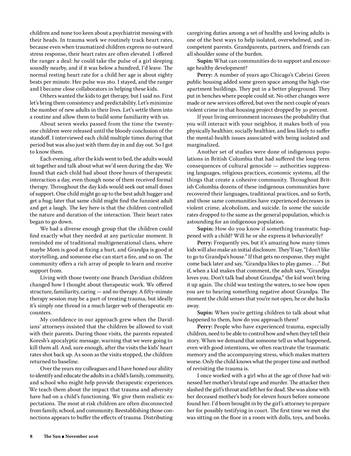children and none too keen about a psychiatrist messing with their heads. In trauma work we routinely track heart rates, because even when traumatized children express no outward stress response, their heart rates are often elevated. I offered the ranger a deal: he could take the pulse of a girl sleeping soundly nearby, and if it was below a hundred, I'd leave. The normal resting heart rate for a child her age is about eighty beats per minute. Her pulse was 160. I stayed, and the ranger and I became close collaborators in helping these kids.

 Others wanted the kids to get therapy, but I said no. First let's bring them consistency and predictability. Let's minimize the number of new adults in their lives. Let's settle them into a routine and allow them to build some familiarity with us.

 About seven weeks passed from the time the twentyone children were released until the bloody conclusion of the standoff. I interviewed each child multiple times during that period but was also just with them day in and day out. So I got to know them.

 Each evening, after the kids went to bed, the adults would sit together and talk about what we'd seen during the day. We found that each child had about three hours of therapeutic interaction a day, even though none of them received formal therapy. Throughout the day kids would seek out small doses of support. One child might go up to the best adult hugger and get a hug; later that same child might find the funniest adult and get a laugh. The key here is that the children controlled the nature and duration of the interaction. Their heart rates began to go down.

 We had a diverse enough group that the children could find exactly what they needed at any particular moment. It reminded me of traditional multigenerational clans, where maybe Mom is good at fixing a hurt, and Grandpa is good at storytelling, and someone else can start a fire, and so on. The community offers a rich array of people to learn and receive support from.

 Living with those twenty-one Branch Davidian children changed how I thought about therapeutic work. We offered structure, familiarity, caring — and no therapy. A fifty-minute therapy session may be a part of treating trauma, but ideally it's simply one thread in a much larger web of therapeutic encounters.

 My confidence in our approach grew when the Davidians' attorneys insisted that the children be allowed to visit with their parents. During those visits, the parents repeated Koresh's apocalyptic message, warning that we were going to kill them all. And, sure enough, after the visits the kids' heart rates shot back up. As soon as the visits stopped, the children returned to baseline.

 Over the years my colleagues and I have honed our ability to identify and educate the adults in a child's family, community, and school who might help provide therapeutic experiences. We teach them about the impact that trauma and adversity have had on a child's functioning. We give them realistic expectations. The most at-risk children are often disconnected from family, school, and community. Reestablishing those connections appears to buffer the effects of trauma. Distributing

caregiving duties among a set of healthy and loving adults is one of the best ways to help isolated, overwhelmed, and incompetent parents. Grandparents, partners, and friends can all shoulder some of the burden.

**Supin:** What can communities do to support and encourage healthy development?

**Perry:** A number of years ago Chicago's Cabrini Green public housing added some green space among the high-rise apartment buildings. They put in a better playground. They put in benches where people could sit. No other changes were made or new services offered, but over the next couple of years violent crime in that housing project dropped by 30 percent.

 If your living environment increases the probability that you will interact with your neighbor, it makes both of you physically healthier, socially healthier, and less likely to suffer the mental-health issues associated with being isolated and marginalized.

 Another set of studies were done of indigenous populations in British Columbia that had suffered the long-term consequences of cultural genocide — authorities suppressing languages, religious practices, economic systems, all the things that create a cohesive community. Throughout British Columbia dozens of these indigenous communities have recovered their languages, traditional practices, and so forth, and those same communities have experienced decreases in violent crime, alcoholism, and suicide. In some the suicide rates dropped to the same as the general population, which is astounding for an indigenous population.

**Supin:** How do you know if something traumatic happened with a child? Will he or she express it behaviorally?

**Perry:** Frequently yes, but it's amazing how many times kids will also make an initial disclosure. They'll say, "I don't like to go to Grandpa's house." If that gets no response, they might come back later and say, "Grandpa likes to play games . . ." But if, when a kid makes that comment, the adult says, "Grandpa loves you. Don't talk bad about Grandpa," the kid won't bring it up again. The child was testing the waters, to see how open you are to hearing something negative about Grandpa. The moment the child senses that you're not open, he or she backs away.

**Supin:** When you're getting children to talk about what happened to them, how do you approach them?

**Perry:** People who have experienced trauma, especially children, need to be able to control how and when they tell their story. When we demand that someone tell us what happened, even with good intentions, we often reactivate the traumatic memory and the accompanying stress, which makes matters worse. Only the child knows what the proper time and method of revisiting the trauma is.

 I once worked with a girl who at the age of three had witnessed her mother's brutal rape and murder. The attacker then slashed the girl's throat and left her for dead. She was alone with her deceased mother's body for eleven hours before someone found her. I'd been brought in by the girl's attorney to prepare her for possibly testifying in court. The first time we met she was sitting on the floor in a room with dolls, toys, and books.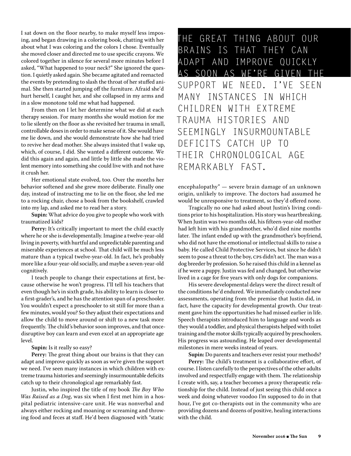I sat down on the floor nearby, to make myself less imposing, and began drawing in a coloring book, chatting with her about what I was coloring and the colors I chose. Eventually she moved closer and directed me to use specific crayons. We colored together in silence for several more minutes before I asked, "What happened to your neck?" She ignored the question. I quietly asked again. She became agitated and reenacted the events by pretending to slash the throat of her stuffed animal. She then started jumping off the furniture. Afraid she'd hurt herself, I caught her, and she collapsed in my arms and in a slow monotone told me what had happened.

 From then on I let her determine what we did at each therapy session. For many months she would motion for me to lie silently on the floor as she revisited her trauma in small, controllable doses in order to make sense of it. She would have me lie down, and she would demonstrate how she had tried to revive her dead mother. She always insisted that I wake up, which, of course, I did. She wanted a different outcome. We did this again and again, and little by little she made the violent memory into something she could live with and not have it crush her.

 Her emotional state evolved, too. Over the months her behavior softened and she grew more deliberate. Finally one day, instead of instructing me to lie on the floor, she led me to a rocking chair, chose a book from the bookshelf, crawled into my lap, and asked me to read her a story.

**Supin:** What advice do you give to people who work with traumatized kids?

**Perry:** It's critically important to meet the child exactly where he or she is developmentally. Imagine a twelve-year-old living in poverty, with hurtful and unpredictable parenting and miserable experiences at school. That child will be much less mature than a typical twelve-year-old. In fact, he's probably more like a four-year-old socially, and maybe a seven-year-old cognitively.

 I teach people to change their expectations at first, because otherwise he won't progress. I'll tell his teachers that even though he's in sixth grade, his ability to learn is closer to a first-grader's, and he has the attention span of a preschooler. You wouldn't expect a preschooler to sit still for more than a few minutes, would you? So they adjust their expectations and allow the child to move around or shift to a new task more frequently. The child's behavior soon improves, and that oncedisruptive boy can learn and even excel at an appropriate age level.

**Supin:** Is it really so easy?

**Perry:** The great thing about our brains is that they can adapt and improve quickly as soon as we're given the support we need. I've seen many instances in which children with extreme trauma histories and seemingly insurmountable deficits catch up to their chronological age remarkably fast.

 Justin, who inspired the title of my book *The Boy Who Was Raised as a Dog*, was six when I first met him in a hospital pediatric intensive-care unit. He was nonverbal and always either rocking and moaning or screaming and throwing food and feces at staff. He'd been diagnosed with "static

THE GREAT THING ABOUT OUR BRAINS IS THAT THEY CAN ADAPT AND IMPROVE QUICKLY AS SOON AS WE'RE GIVEN THE SUPPORT WE NEED. I'VE SEEN MANY INSTANCES IN WHICH CHILDREN WITH EXTREME TRAUMA HISTORIES AND SFEMINGLY INSURMOUNTABLE DEFICITS CATCH UP TO THEIR CHRONOLOGICAL AGE REMARKABLY FAST.

encephalopathy" — severe brain damage of an unknown origin, unlikely to improve. The doctors had assumed he would be unresponsive to treatment, so they'd offered none.

 Tragically no one had asked about Justin's living conditions prior to his hospitalization. His story was heartbreaking. When Justin was two months old, his fifteen-year-old mother had left him with his grandmother, who'd died nine months later. The infant ended up with the grandmother's boyfriend, who did not have the emotional or intellectual skills to raise a baby. He called Child Protective Services, but since he didn't seem to pose a threat to the boy, CPS didn't act. The man was a dog breeder by profession. So he raised this child in a kennel as if he were a puppy. Justin was fed and changed, but otherwise lived in a cage for five years with only dogs for companions.

 His severe developmental delays were the direct result of the conditions he'd endured. We immediately conducted new assessments, operating from the premise that Justin did, in fact, have the capacity for developmental growth. Our treatment gave him the opportunities he had missed earlier in life. Speech therapists introduced him to language and words as they would a toddler, and physical therapists helped with toilet training and the motor skills typically acquired by preschoolers. His progress was astounding. He leaped over developmental milestones in mere weeks instead of years.

**Supin:** Do parents and teachers ever resist your methods? **Perry:** The child's treatment is a collaborative effort, of course. I listen carefully to the perspectives of the other adults involved and respectfully engage with them. The relationship I create with, say, a teacher becomes a proxy therapeutic relationship for the child. Instead of just seeing this child once a week and doing whatever voodoo I'm supposed to do in that hour, I've got co-therapists out in the community who are providing dozens and dozens of positive, healing interactions with the child.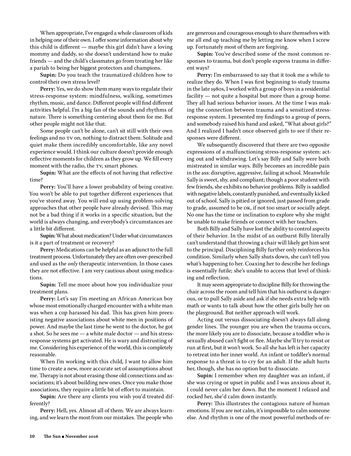When appropriate, I've engaged a whole classroom of kids in helping one of their own. I offer some information about why this child is different — maybe this girl didn't have a loving mommy and daddy, so she doesn't understand how to make friends — and the child's classmates go from treating her like a pariah to being her biggest protectors and champions.

**Supin:** Do you teach the traumatized children how to control their own stress level?

**Perry:** Yes, we do show them many ways to regulate their stress-response system: mindfulness, walking, sometimes rhythm, music, and dance. Different people will find different activities helpful. I'm a big fan of the sounds and rhythms of nature. There is something centering about them for me. But other people might not like that.

 Some people can't be alone, can't sit still with their own feelings and no TV on, nothing to distract them. Solitude and quiet make them incredibly uncomfortable, like any novel experience would. I think our culture doesn't provide enough reflective moments for children as they grow up. We fill every moment with the radio, the TV, smart phones.

**Supin:** What are the effects of not having that reflective time?

**Perry:** You'll have a lower probability of being creative. You won't be able to put together different experiences that you've stored away. You will end up using problem-solving approaches that other people have already devised. This may not be a bad thing if it works in a specific situation, but the world is always changing, and everybody's circumstances are a little bit different.

**Supin:** What about medication? Under what circumstances is it a part of treatment or recovery?

**Perry:** Medications can be helpful as an adjunct to the full treatment process. Unfortunately they are often over-prescribed and used as the *only* therapeutic intervention. In those cases they are not effective. I am very cautious about using medications.

**Supin:** Tell me more about how you individualize your treatment plans.

Perry: Let's say I'm meeting an African American boy whose most emotionally charged encounter with a white man was when a cop harassed his dad. This has given him preexisting negative associations about white men in positions of power. And maybe the last time he went to the doctor, he got a shot. So he sees me — a white male doctor — and his stressresponse systems get activated. He is wary and distrusting of me. Considering his experience of the world, this is completely reasonable.

 When I'm working with this child, I want to allow him time to create a new, more accurate set of assumptions about me. Therapy is not about erasing those old connections and associations; it's about building new ones. Once you make those associations, they require a little bit of effort to maintain.

**Supin:** Are there any clients you wish you'd treated differently?

**Perry:** Hell, yes. Almost all of them. We are always learning, and we learn the most from our mistakes. The people who

are generous and courageous enough to share themselves with me all end up teaching me by letting me know when I screw up. Fortunately most of them are forgiving.

**Supin:** You've described some of the most common responses to trauma, but don't people express trauma in different ways?

**Perry:** I'm embarrassed to say that it took me a while to realize they do. When I was first beginning to study trauma in the late 1980s, I worked with a group of boys in a residential facility — not quite a hospital but more than a group home. They all had serious behavior issues. At the time I was making the connection between trauma and a sensitized stressresponse system. I presented my findings to a group of peers, and somebody raised his hand and asked, "What about girls?" And I realized I hadn't once observed girls to see if their responses were different.

 We subsequently discovered that there are two opposite expressions of a malfunctioning stress-response system: acting out and withdrawing. Let's say Billy and Sally were both mistreated in similar ways. Billy becomes an incredible pain in the ass: disruptive, aggressive, failing at school. Meanwhile Sally is sweet, shy, and compliant; though a poor student with few friends, she exhibits no behavior problems. Billy is saddled with negative labels, constantly punished, and eventually kicked out of school. Sally is pitied or ignored, just passed from grade to grade, assumed to be OK, if not too smart or socially adept. No one has the time or inclination to explore why she might be unable to make friends or connect with her teachers.

 Both Billy and Sally have lost the ability to control aspects of their behavior. In the midst of an outburst Billy literally can't understand that throwing a chair will likely get him sent to the principal. Disciplining Billy further only reinforces his condition. Similarly when Sally shuts down, she can't tell you what's happening to her. Coaxing her to describe her feelings is essentially futile; she's unable to access that level of thinking and reflection.

 It may seem appropriate to discipline Billy for throwing the chair across the room and tell him that his outburst is dangerous, or to pull Sally aside and ask if she needs extra help with math or wants to talk about how the other girls bully her on the playground. But neither approach will work.

 Acting out versus dissociating doesn't always fall along gender lines. The younger you are when the trauma occurs, the more likely you are to dissociate, because a toddler who is sexually abused can't fight or flee. Maybe she'll try to resist or run at first, but it won't work. So all she has left is her capacity to retreat into her inner world. An infant or toddler's normal response to a threat is to cry for an adult. If the adult hurts her, though, she has no option but to dissociate.

**Supin:** I remember when my daughter was an infant, if she was crying or upset in public and I was anxious about it, I could never calm her down. But the moment I relaxed and rocked her, she'd calm down instantly.

**Perry:** This illustrates the contagious nature of human emotions. If you are not calm, it's impossible to calm someone else. And rhythm is one of the most powerful methods of re-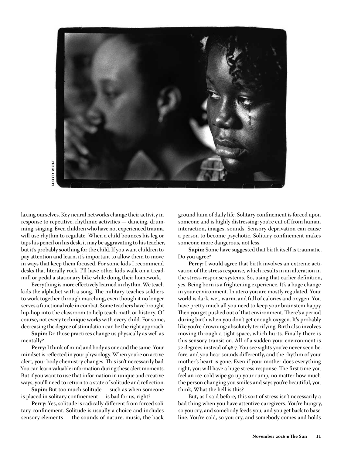

**LLOYD WOLF lloyd wolf**

laxing ourselves. Key neural networks change their activity in response to repetitive, rhythmic activities — dancing, drumming, singing. Even children who have not experienced trauma will use rhythm to regulate. When a child bounces his leg or taps his pencil on his desk, it may be aggravating to his teacher, but it's probably soothing for the child. If you want children to pay attention and learn, it's important to allow them to move in ways that keep them focused. For some kids I recommend desks that literally rock. I'll have other kids walk on a treadmill or pedal a stationary bike while doing their homework.

 Everything is more effectively learned in rhythm. We teach kids the alphabet with a song. The military teaches soldiers to work together through marching, even though it no longer serves a functional role in combat. Some teachers have brought hip-hop into the classroom to help teach math or history. Of course, not every technique works with every child. For some, decreasing the degree of stimulation can be the right approach.

**Supin:** Do those practices change us physically as well as mentally?

**Perry:** I think of mind and body as one and the same. Your mindset is reflected in your physiology. When you're on active alert, your body chemistry changes. This isn't necessarily bad. You can learn valuable information during these alert moments. But if you want to use that information in unique and creative ways, you'll need to return to a state of solitude and reflection.

**Supin:** But too much solitude — such as when someone is placed in solitary confinement — is bad for us, right?

**Perry:** Yes, solitude is radically different from forced solitary confinement. Solitude is usually a choice and includes sensory elements — the sounds of nature, music, the background hum of daily life. Solitary confinement is forced upon someone and is highly distressing; you're cut off from human interaction, images, sounds. Sensory deprivation can cause a person to become psychotic. Solitary confinement makes someone more dangerous, not less.

**Supin:** Some have suggested that birth itself is traumatic. Do you agree?

**Perry:** I would agree that birth involves an extreme activation of the stress response, which results in an alteration in the stress-response systems. So, using that earlier definition, yes. Being born is a frightening experience. It's a huge change in your environment. In utero you are mostly regulated. Your world is dark, wet, warm, and full of calories and oxygen. You have pretty much all you need to keep your brainstem happy. Then you get pushed out of that environment. There's a period during birth when you don't get enough oxygen. It's probably like you're drowning: absolutely terrifying. Birth also involves moving through a tight space, which hurts. Finally there is this sensory transition. All of a sudden your environment is 72 degrees instead of 98.7. You see sights you've never seen before, and you hear sounds differently, and the rhythm of your mother's heart is gone. Even if your mother does everything right, you will have a huge stress response. The first time you feel an ice-cold wipe go up your rump, no matter how much the person changing you smiles and says you're beautiful, you think, What the hell is this?

 But, as I said before, this sort of stress isn't necessarily a bad thing when you have attentive caregivers. You're hungry, so you cry, and somebody feeds you, and you get back to baseline. You're cold, so you cry, and somebody comes and holds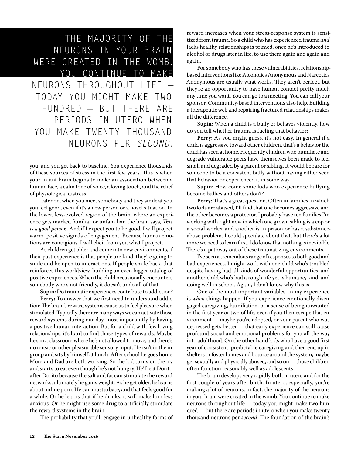## THE MAJORITY OF THE NEURONS IN YOUR BRAIN WERE CREATED IN THE WOMB. YOU CONTINUE TO MAKE NEURONS THROUGHOUT LIFE — TODAY YOU MIGHT MAKE TWO HUNDRED — BUT THERE ARE PERIODS IN UTERO WHEN YOU MAKE TWENTY THOUSAND NEURONS PER *SECOND*.

you, and you get back to baseline. You experience thousands of these sources of stress in the first few years. This is when your infant brain begins to make an association between a human face, a calm tone of voice, a loving touch, and the relief of physiological distress.

 Later on, when you meet somebody and they smile at you, you feel good, even if it's a new person or a novel situation. In the lower, less-evolved region of the brain, where an experience gets marked familiar or unfamiliar, the brain says, *This is a good person*. And if I expect you to be good, I will project warm, positive signals of engagement. Because human emotions are contagious, I will elicit from you what I project.

 As children get older and come into new environments, if their past experience is that people are kind, they're going to smile and be open to interactions. If people smile back, that reinforces this worldview, building an even bigger catalog of positive experiences. When the child occasionally encounters somebody who's not friendly, it doesn't undo all of that.

**Supin:** Do traumatic experiences contribute to addiction?

**Perry:** To answer that we first need to understand addiction: The brain's reward systems cause us to feel pleasure when stimulated. Typically there are many ways we can activate those reward systems during our day, most importantly by having a positive human interaction. But for a child with few loving relationships, it's hard to find those types of rewards. Maybe he's in a classroom where he's not allowed to move, and there's no music or other pleasurable sensory input. He isn't in the ingroup and sits by himself at lunch. After school he goes home. Mom and Dad are both working. So the kid turns on the TV and starts to eat even though he's not hungry. He'll eat Dorito after Dorito because the salt and fat can stimulate the reward networks; ultimately he gains weight. As he get older, he learns about online porn. He can masturbate, and that feels good for a while. Or he learns that if he drinks, it will make him less anxious. Or he might use some drug to artificially stimulate the reward systems in the brain.

The probability that you'll engage in unhealthy forms of

reward increases when your stress-response system is sensitized from trauma. So a child who has experienced trauma *and* lacks healthy relationships is primed, once he's introduced to alcohol or drugs later in life, to use them again and again and again.

 For somebody who has these vulnerabilities, relationshipbased interventions like Alcoholics Anonymous and Narcotics Anonymous are usually what works. They aren't perfect, but they're an opportunity to have human contact pretty much any time you want. You can go to a meeting. You can call your sponsor. Community-based interventions also help. Building a therapeutic web and repairing fractured relationships makes all the difference.

**Supin:** When a child is a bully or behaves violently, how do you tell whether trauma is fueling that behavior?

**Perry:** As you might guess, it's not easy. In general if a child is aggressive toward other children, that's a behavior the child has seen at home. Frequently children who humiliate and degrade vulnerable peers have themselves been made to feel small and degraded by a parent or sibling. It would be rare for someone to be a consistent bully without having either seen that behavior or experienced it in some way.

**Supin:** How come some kids who experience bullying become bullies and others don't?

**Perry:** That's a great question. Often in families in which two kids are abused, I'll find that one becomes aggressive and the other becomes a protector. I probably have ten families I'm working with right now in which one grown sibling is a cop or a social worker and another is in prison or has a substanceabuse problem. I could speculate about that, but there's a lot more we need to learn first. I do know that nothing is inevitable. There's a pathway out of these traumatizing environments.

 I've seen a tremendous range of responses to both good and bad experiences. I might work with one child who's troubled despite having had all kinds of wonderful opportunities, and another child who's had a rough life yet is humane, kind, and doing well in school. Again, I don't know why this is.

 One of the most important variables, in my experience, is *when* things happen. If you experience emotionally disengaged caregiving, humiliation, or a sense of being unwanted in the first year or two of life, even if you then escape that environment — maybe you're adopted, or your parent who was depressed gets better — that early experience can still cause profound social and emotional problems for you all the way into adulthood. On the other hand kids who have a good first year of consistent, predictable caregiving and then end up in shelters or foster homes and bounce around the system, maybe get sexually and physically abused, and so on — those children often function reasonably well as adolescents.

 The brain develops very rapidly both in utero and for the first couple of years after birth. In utero, especially, you're making a lot of neurons; in fact, the majority of the neurons in your brain were created in the womb. You continue to make neurons throughout life — today you might make two hundred — but there are periods in utero when you make twenty thousand neurons per *second*. The foundation of the brain's